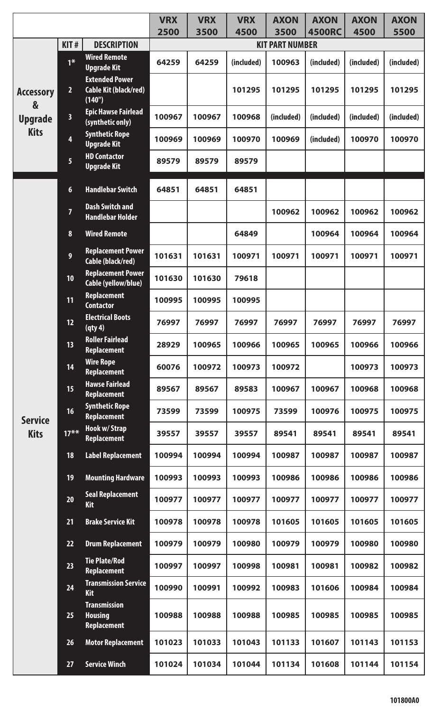|                                                        |                         |                                                             | <b>VRX</b> | <b>VRX</b> | <b>VRX</b> | <b>AXON</b>                    | <b>AXON</b>   | <b>AXON</b> | <b>AXON</b> |
|--------------------------------------------------------|-------------------------|-------------------------------------------------------------|------------|------------|------------|--------------------------------|---------------|-------------|-------------|
|                                                        | KIT#                    | <b>DESCRIPTION</b>                                          | 2500       | 3500       | 4500       | 3500<br><b>KIT PART NUMBER</b> | <b>4500RC</b> | 4500        | 5500        |
|                                                        |                         | <b>Wired Remote</b>                                         |            |            |            |                                |               |             |             |
|                                                        | $1*$                    | <b>Upgrade Kit</b>                                          | 64259      | 64259      | (included) | 100963                         | (included)    | (included)  | (included)  |
| <b>Accessory</b><br>&<br><b>Upgrade</b><br><b>Kits</b> | $\overline{2}$          | <b>Extended Power</b><br>Cable Kit (black/red)<br>(140")    |            |            | 101295     | 101295                         | 101295        | 101295      | 101295      |
|                                                        | $\overline{\mathbf{3}}$ | <b>Epic Hawse Fairlead</b><br>(synthetic only)              | 100967     | 100967     | 100968     | (included)                     | (included)    | (included)  | (included)  |
|                                                        | 4                       | <b>Synthetic Rope</b><br><b>Upgrade Kit</b>                 | 100969     | 100969     | 100970     | 100969                         | (included)    | 100970      | 100970      |
|                                                        | $\overline{\mathbf{5}}$ | <b>HD Contactor</b><br><b>Upgrade Kit</b>                   | 89579      | 89579      | 89579      |                                |               |             |             |
|                                                        | $6\phantom{1}$          | <b>Handlebar Switch</b>                                     | 64851      | 64851      | 64851      |                                |               |             |             |
|                                                        | $\overline{7}$          | <b>Dash Switch and</b><br><b>Handlebar Holder</b>           |            |            |            | 100962                         | 100962        | 100962      | 100962      |
|                                                        | 8                       | <b>Wired Remote</b>                                         |            |            | 64849      |                                | 100964        | 100964      | 100964      |
|                                                        | 9                       | <b>Replacement Power</b><br>Cable (black/red)               | 101631     | 101631     | 100971     | 100971                         | 100971        | 100971      | 100971      |
|                                                        | 10                      | <b>Replacement Power</b><br>Cable (yellow/blue)             | 101630     | 101630     | 79618      |                                |               |             |             |
|                                                        | 11                      | <b>Replacement</b><br><b>Contactor</b>                      | 100995     | 100995     | 100995     |                                |               |             |             |
|                                                        | 12                      | <b>Electrical Boots</b><br>(qty4)                           | 76997      | 76997      | 76997      | 76997                          | 76997         | 76997       | 76997       |
|                                                        | 13                      | <b>Roller Fairlead</b><br><b>Replacement</b>                | 28929      | 100965     | 100966     | 100965                         | 100965        | 100966      | 100966      |
|                                                        | 14                      | <b>Wire Rope</b><br><b>Replacement</b>                      | 60076      | 100972     | 100973     | 100972                         |               | 100973      | 100973      |
|                                                        | 15                      | <b>Hawse Fairlead</b><br><b>Replacement</b>                 | 89567      | 89567      | 89583      | 100967                         | 100967        | 100968      | 100968      |
| <b>Service</b>                                         | 16                      | <b>Synthetic Rope</b><br><b>Replacement</b>                 | 73599      | 73599      | 100975     | 73599                          | 100976        | 100975      | 100975      |
| <b>Kits</b>                                            | $17***$                 | <b>Hook w/ Strap</b><br><b>Replacement</b>                  | 39557      | 39557      | 39557      | 89541                          | 89541         | 89541       | 89541       |
|                                                        | 18                      | <b>Label Replacement</b>                                    | 100994     | 100994     | 100994     | 100987                         | 100987        | 100987      | 100987      |
|                                                        | 19                      | <b>Mounting Hardware</b>                                    | 100993     | 100993     | 100993     | 100986                         | 100986        | 100986      | 100986      |
|                                                        | 20                      | <b>Seal Replacement</b><br><b>Kit</b>                       | 100977     | 100977     | 100977     | 100977                         | 100977        | 100977      | 100977      |
|                                                        | 21                      | <b>Brake Service Kit</b>                                    | 100978     | 100978     | 100978     | 101605                         | 101605        | 101605      | 101605      |
|                                                        | 22                      | <b>Drum Replacement</b>                                     | 100979     | 100979     | 100980     | 100979                         | 100979        | 100980      | 100980      |
|                                                        | 23                      | <b>Tie Plate/Rod</b><br><b>Replacement</b>                  | 100997     | 100997     | 100998     | 100981                         | 100981        | 100982      | 100982      |
|                                                        | 24                      | <b>Transmission Service</b><br><b>Kit</b>                   | 100990     | 100991     | 100992     | 100983                         | 101606        | 100984      | 100984      |
|                                                        | 25                      | <b>Transmission</b><br><b>Housing</b><br><b>Replacement</b> | 100988     | 100988     | 100988     | 100985                         | 100985        | 100985      | 100985      |
|                                                        | 26                      | <b>Motor Replacement</b>                                    | 101023     | 101033     | 101043     | 101133                         | 101607        | 101143      | 101153      |
|                                                        | 27                      | <b>Service Winch</b>                                        | 101024     | 101034     | 101044     | 101134                         | 101608        | 101144      | 101154      |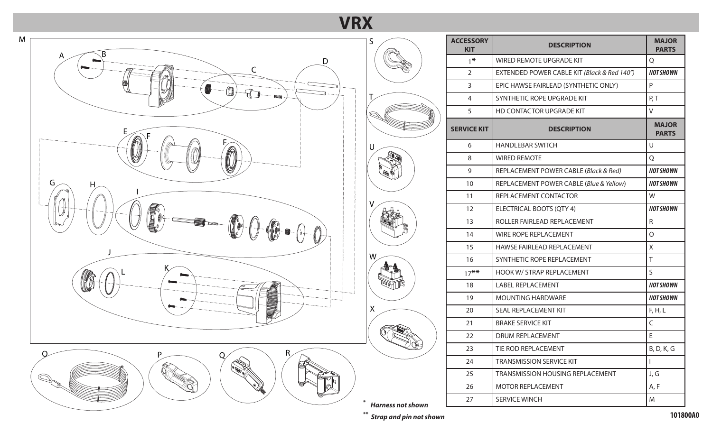## **VRX**



M

| S                        | <b>ACCESSORY</b><br><b>KIT</b> | <b>DESCRIPTION</b>                          | <b>MAJOR</b><br><b>PARTS</b> |
|--------------------------|--------------------------------|---------------------------------------------|------------------------------|
|                          | $1*$                           | WIRED REMOTE UPGRADE KIT                    | Q                            |
|                          | $\overline{2}$                 | EXTENDED POWER CABLE KIT (Black & Red 140") | <b>NOT SHOWN</b>             |
|                          | 3                              | EPIC HAWSE FAIRLEAD (SYNTHETIC ONLY)        | P                            |
|                          | 4                              | SYNTHETIC ROPE UPGRADE KIT                  | P, T                         |
|                          | 5                              | HD CONTACTOR UPGRADE KIT                    | $\vee$                       |
|                          | <b>SERVICE KIT</b>             | <b>DESCRIPTION</b>                          | <b>MAJOR</b><br><b>PARTS</b> |
| U                        | 6                              | <b>HANDLEBAR SWITCH</b>                     | U                            |
|                          | 8                              | <b>WIRED REMOTE</b>                         | Q                            |
|                          | 9                              | REPLACEMENT POWER CABLE (Black & Red)       | <b>NOT SHOWN</b>             |
|                          | 10                             | REPLACEMENT POWER CABLE (Blue & Yellow)     | <b>NOT SHOWN</b>             |
|                          | 11                             | REPLACEMENT CONTACTOR                       | W                            |
| V                        | 12                             | ELECTRICAL BOOTS (QTY 4)                    | <b>NOT SHOWN</b>             |
|                          | 13                             | ROLLER FAIRLEAD REPLACEMENT                 | $\mathsf{R}$                 |
|                          | 14                             | WIRE ROPE REPLACEMENT                       | $\Omega$                     |
|                          | 15                             | HAWSE FAIRLEAD REPLACEMENT                  | X                            |
| W                        | 16                             | SYNTHETIC ROPE REPLACEMENT                  | $\top$                       |
|                          | $17***$                        | HOOK W/ STRAP REPLACEMENT                   | S                            |
|                          | 18                             | <b>LABEL REPLACEMENT</b>                    | <b>NOT SHOWN</b>             |
|                          | 19                             | <b>MOUNTING HARDWARE</b>                    | <b>NOT SHOWN</b>             |
| X                        | 20                             | SEAL REPLACEMENT KIT                        | F, H, L                      |
|                          | 21                             | <b>BRAKE SERVICE KIT</b>                    | $\mathsf C$                  |
|                          | 22                             | <b>DRUM REPLACEMENT</b>                     | E                            |
|                          | 23                             | TIE ROD REPLACEMENT                         | B, D, K, G                   |
|                          | 24                             | <b>TRANSMISSION SERVICE KIT</b>             | $\mathbf{I}$                 |
|                          | 25                             | TRANSMISSION HOUSING REPLACEMENT            | J, G                         |
|                          | 26                             | <b>MOTOR REPLACEMENT</b>                    | A, F                         |
| <b>Harness not shown</b> | 27                             | <b>SERVICE WINCH</b>                        | M                            |

**\*\*** *Strap and pin not shown* **101800A0**